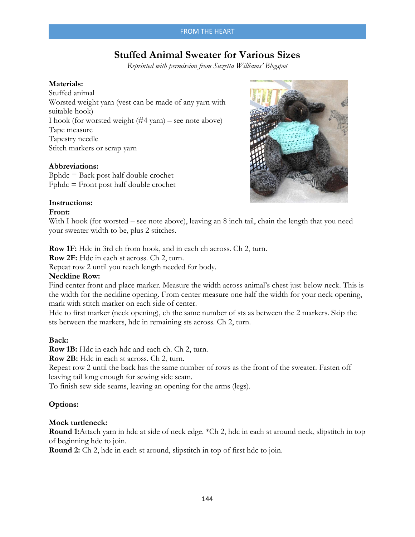#### FROM THE HEART

# **Stuffed Animal Sweater for Various Sizes**

*Reprinted with permission from Suzetta Williams' Blogspot*

#### **Materials:**

Stuffed animal Worsted weight yarn (vest can be made of any yarn with suitable hook) I hook (for worsted weight (#4 yarn) – see note above) Tape measure Tapestry needle Stitch markers or scrap yarn

# **Abbreviations:**

Bphdc = Back post half double crochet Fphdc = Front post half double crochet



# **Instructions:**

#### **Front:**

With I hook (for worsted – see note above), leaving an 8 inch tail, chain the length that you need your sweater width to be, plus 2 stitches.

**Row 1F:** Hdc in 3rd ch from hook, and in each ch across. Ch 2, turn.

**Row 2F:** Hdc in each st across. Ch 2, turn.

Repeat row 2 until you reach length needed for body.

#### **Neckline Row:**

Find center front and place marker. Measure the width across animal's chest just below neck. This is the width for the neckline opening. From center measure one half the width for your neck opening, mark with stitch marker on each side of center.

Hdc to first marker (neck opening), ch the same number of sts as between the 2 markers. Skip the sts between the markers, hdc in remaining sts across. Ch 2, turn.

#### **Back:**

**Row 1B:** Hdc in each hdc and each ch. Ch 2, turn.

**Row 2B:** Hdc in each st across. Ch 2, turn.

Repeat row 2 until the back has the same number of rows as the front of the sweater. Fasten off leaving tail long enough for sewing side seam.

To finish sew side seams, leaving an opening for the arms (legs).

#### **Options:**

#### **Mock turtleneck:**

**Round 1:**Attach yarn in hdc at side of neck edge. \*Ch 2, hdc in each st around neck, slipstitch in top of beginning hdc to join.

**Round 2:** Ch 2, hdc in each st around, slipstitch in top of first hdc to join.